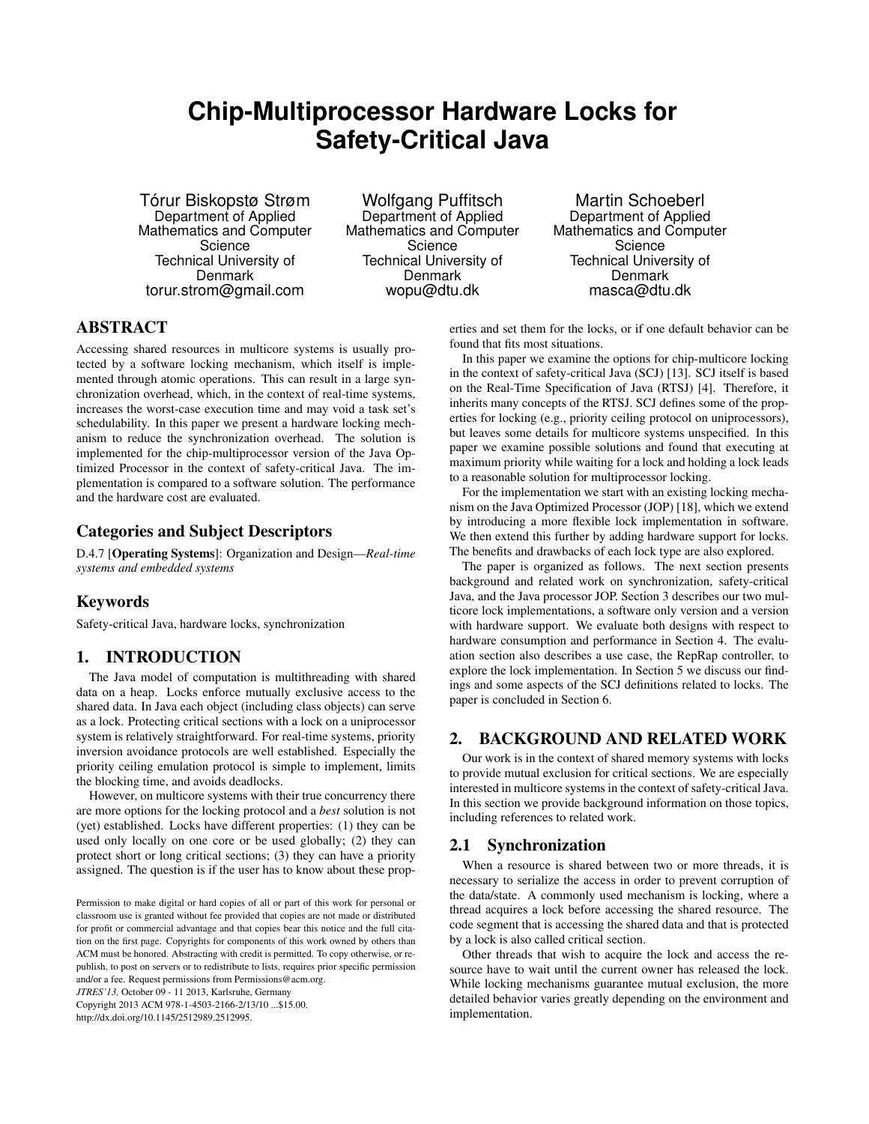# **Chip-Multiprocessor Hardware Locks for Safety-Critical Java**

Tórur Biskopstø Strøm Department of Applied Mathematics and Computer Science Technical University of Denmark torur.strom@gmail.com

Wolfgang Puffitsch Department of Applied Mathematics and Computer Science Technical University of Denmark wopu@dtu.dk

Martin Schoeberl Department of Applied Mathematics and Computer Science Technical University of Denmark masca@dtu.dk

# ABSTRACT

Accessing shared resources in multicore systems is usually protected by a software locking mechanism, which itself is implemented through atomic operations. This can result in a large synchronization overhead, which, in the context of real-time systems, increases the worst-case execution time and may void a task set's schedulability. In this paper we present a hardware locking mechanism to reduce the synchronization overhead. The solution is implemented for the chip-multiprocessor version of the Java Optimized Processor in the context of safety-critical Java. The implementation is compared to a software solution. The performance and the hardware cost are evaluated.

# Categories and Subject Descriptors

D.4.7 [Operating Systems]: Organization and Design—*Real-time systems and embedded systems*

# Keywords

Safety-critical Java, hardware locks, synchronization

# 1. INTRODUCTION

The Java model of computation is multithreading with shared data on a heap. Locks enforce mutually exclusive access to the shared data. In Java each object (including class objects) can serve as a lock. Protecting critical sections with a lock on a uniprocessor system is relatively straightforward. For real-time systems, priority inversion avoidance protocols are well established. Especially the priority ceiling emulation protocol is simple to implement, limits the blocking time, and avoids deadlocks.

However, on multicore systems with their true concurrency there are more options for the locking protocol and a *best* solution is not (yet) established. Locks have different properties: (1) they can be used only locally on one core or be used globally; (2) they can protect short or long critical sections; (3) they can have a priority assigned. The question is if the user has to know about these prop-

*JTRES'13,* October 09 - 11 2013, Karlsruhe, Germany Copyright 2013 ACM 978-1-4503-2166-2/13/10 ...\$15.00. http://dx.doi.org/10.1145/2512989.2512995.

erties and set them for the locks, or if one default behavior can be found that fits most situations.

In this paper we examine the options for chip-multicore locking in the context of safety-critical Java (SCJ) [13]. SCJ itself is based on the Real-Time Specification of Java (RTSJ) [4]. Therefore, it inherits many concepts of the RTSJ. SCJ defines some of the properties for locking (e.g., priority ceiling protocol on uniprocessors), but leaves some details for multicore systems unspecified. In this paper we examine possible solutions and found that executing at maximum priority while waiting for a lock and holding a lock leads to a reasonable solution for multiprocessor locking.

For the implementation we start with an existing locking mechanism on the Java Optimized Processor (JOP) [18], which we extend by introducing a more flexible lock implementation in software. We then extend this further by adding hardware support for locks. The benefits and drawbacks of each lock type are also explored.

The paper is organized as follows. The next section presents background and related work on synchronization, safety-critical Java, and the Java processor JOP. Section 3 describes our two multicore lock implementations, a software only version and a version with hardware support. We evaluate both designs with respect to hardware consumption and performance in Section 4. The evaluation section also describes a use case, the RepRap controller, to explore the lock implementation. In Section 5 we discuss our findings and some aspects of the SCJ definitions related to locks. The paper is concluded in Section 6.

# 2. BACKGROUND AND RELATED WORK

Our work is in the context of shared memory systems with locks to provide mutual exclusion for critical sections. We are especially interested in multicore systems in the context of safety-critical Java. In this section we provide background information on those topics, including references to related work.

# 2.1 Synchronization

When a resource is shared between two or more threads, it is necessary to serialize the access in order to prevent corruption of the data/state. A commonly used mechanism is locking, where a thread acquires a lock before accessing the shared resource. The code segment that is accessing the shared data and that is protected by a lock is also called critical section.

Other threads that wish to acquire the lock and access the resource have to wait until the current owner has released the lock. While locking mechanisms guarantee mutual exclusion, the more detailed behavior varies greatly depending on the environment and implementation.

Permission to make digital or hard copies of all or part of this work for personal or classroom use is granted without fee provided that copies are not made or distributed for profit or commercial advantage and that copies bear this notice and the full citation on the first page. Copyrights for components of this work owned by others than ACM must be honored. Abstracting with credit is permitted. To copy otherwise, or republish, to post on servers or to redistribute to lists, requires prior specific permission and/or a fee. Request permissions from Permissions@acm.org.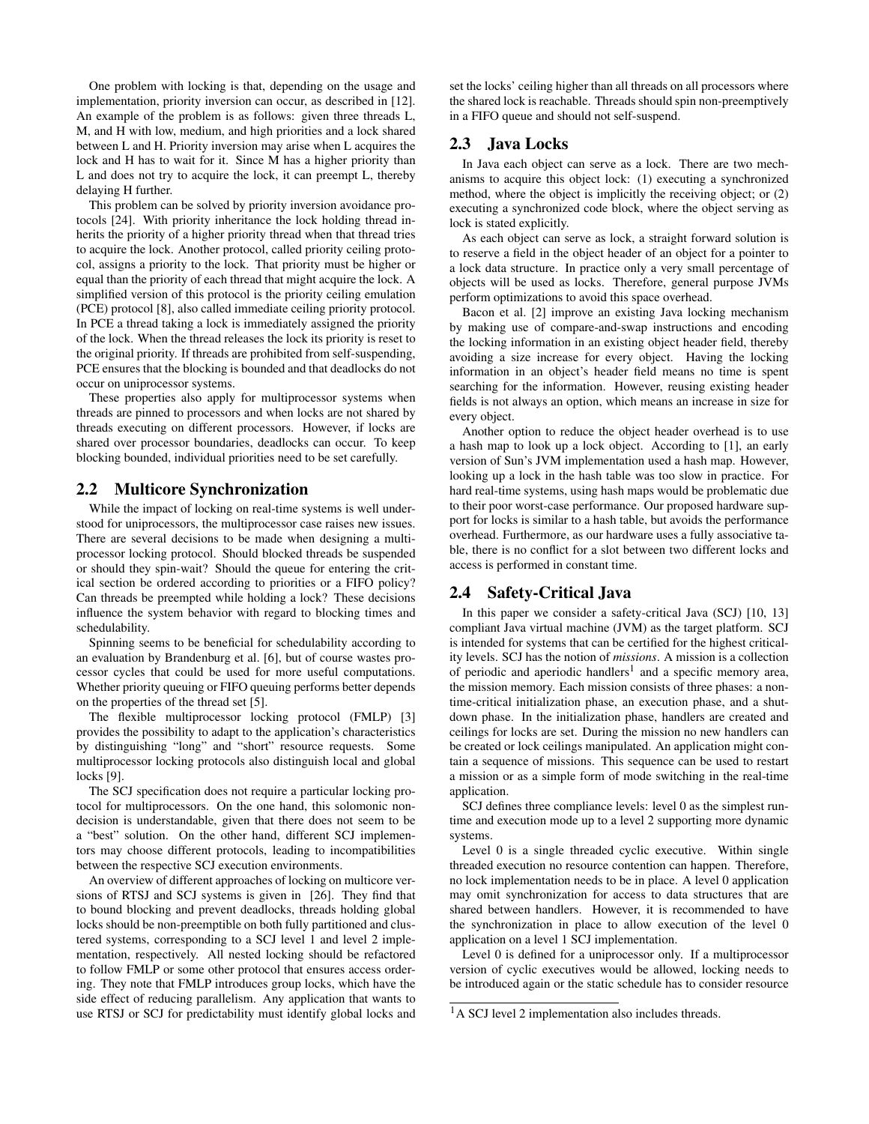One problem with locking is that, depending on the usage and implementation, priority inversion can occur, as described in [12]. An example of the problem is as follows: given three threads L, M, and H with low, medium, and high priorities and a lock shared between L and H. Priority inversion may arise when L acquires the lock and H has to wait for it. Since M has a higher priority than L and does not try to acquire the lock, it can preempt L, thereby delaying H further.

This problem can be solved by priority inversion avoidance protocols [24]. With priority inheritance the lock holding thread inherits the priority of a higher priority thread when that thread tries to acquire the lock. Another protocol, called priority ceiling protocol, assigns a priority to the lock. That priority must be higher or equal than the priority of each thread that might acquire the lock. A simplified version of this protocol is the priority ceiling emulation (PCE) protocol [8], also called immediate ceiling priority protocol. In PCE a thread taking a lock is immediately assigned the priority of the lock. When the thread releases the lock its priority is reset to the original priority. If threads are prohibited from self-suspending, PCE ensures that the blocking is bounded and that deadlocks do not occur on uniprocessor systems.

These properties also apply for multiprocessor systems when threads are pinned to processors and when locks are not shared by threads executing on different processors. However, if locks are shared over processor boundaries, deadlocks can occur. To keep blocking bounded, individual priorities need to be set carefully.

## 2.2 Multicore Synchronization

While the impact of locking on real-time systems is well understood for uniprocessors, the multiprocessor case raises new issues. There are several decisions to be made when designing a multiprocessor locking protocol. Should blocked threads be suspended or should they spin-wait? Should the queue for entering the critical section be ordered according to priorities or a FIFO policy? Can threads be preempted while holding a lock? These decisions influence the system behavior with regard to blocking times and schedulability.

Spinning seems to be beneficial for schedulability according to an evaluation by Brandenburg et al. [6], but of course wastes processor cycles that could be used for more useful computations. Whether priority queuing or FIFO queuing performs better depends on the properties of the thread set [5].

The flexible multiprocessor locking protocol (FMLP) [3] provides the possibility to adapt to the application's characteristics by distinguishing "long" and "short" resource requests. Some multiprocessor locking protocols also distinguish local and global locks [9].

The SCJ specification does not require a particular locking protocol for multiprocessors. On the one hand, this solomonic nondecision is understandable, given that there does not seem to be a "best" solution. On the other hand, different SCJ implementors may choose different protocols, leading to incompatibilities between the respective SCJ execution environments.

An overview of different approaches of locking on multicore versions of RTSJ and SCJ systems is given in [26]. They find that to bound blocking and prevent deadlocks, threads holding global locks should be non-preemptible on both fully partitioned and clustered systems, corresponding to a SCJ level 1 and level 2 implementation, respectively. All nested locking should be refactored to follow FMLP or some other protocol that ensures access ordering. They note that FMLP introduces group locks, which have the side effect of reducing parallelism. Any application that wants to use RTSJ or SCJ for predictability must identify global locks and

set the locks' ceiling higher than all threads on all processors where the shared lock is reachable. Threads should spin non-preemptively in a FIFO queue and should not self-suspend.

#### 2.3 Java Locks

In Java each object can serve as a lock. There are two mechanisms to acquire this object lock: (1) executing a synchronized method, where the object is implicitly the receiving object; or (2) executing a synchronized code block, where the object serving as lock is stated explicitly.

As each object can serve as lock, a straight forward solution is to reserve a field in the object header of an object for a pointer to a lock data structure. In practice only a very small percentage of objects will be used as locks. Therefore, general purpose JVMs perform optimizations to avoid this space overhead.

Bacon et al. [2] improve an existing Java locking mechanism by making use of compare-and-swap instructions and encoding the locking information in an existing object header field, thereby avoiding a size increase for every object. Having the locking information in an object's header field means no time is spent searching for the information. However, reusing existing header fields is not always an option, which means an increase in size for every object.

Another option to reduce the object header overhead is to use a hash map to look up a lock object. According to [1], an early version of Sun's JVM implementation used a hash map. However, looking up a lock in the hash table was too slow in practice. For hard real-time systems, using hash maps would be problematic due to their poor worst-case performance. Our proposed hardware support for locks is similar to a hash table, but avoids the performance overhead. Furthermore, as our hardware uses a fully associative table, there is no conflict for a slot between two different locks and access is performed in constant time.

# 2.4 Safety-Critical Java

In this paper we consider a safety-critical Java (SCJ) [10, 13] compliant Java virtual machine (JVM) as the target platform. SCJ is intended for systems that can be certified for the highest criticality levels. SCJ has the notion of *missions*. A mission is a collection of periodic and aperiodic handlers<sup>1</sup> and a specific memory area, the mission memory. Each mission consists of three phases: a nontime-critical initialization phase, an execution phase, and a shutdown phase. In the initialization phase, handlers are created and ceilings for locks are set. During the mission no new handlers can be created or lock ceilings manipulated. An application might contain a sequence of missions. This sequence can be used to restart a mission or as a simple form of mode switching in the real-time application.

SCJ defines three compliance levels: level 0 as the simplest runtime and execution mode up to a level 2 supporting more dynamic systems.

Level 0 is a single threaded cyclic executive. Within single threaded execution no resource contention can happen. Therefore, no lock implementation needs to be in place. A level 0 application may omit synchronization for access to data structures that are shared between handlers. However, it is recommended to have the synchronization in place to allow execution of the level 0 application on a level 1 SCJ implementation.

Level 0 is defined for a uniprocessor only. If a multiprocessor version of cyclic executives would be allowed, locking needs to be introduced again or the static schedule has to consider resource

<sup>&</sup>lt;sup>1</sup>A SCJ level 2 implementation also includes threads.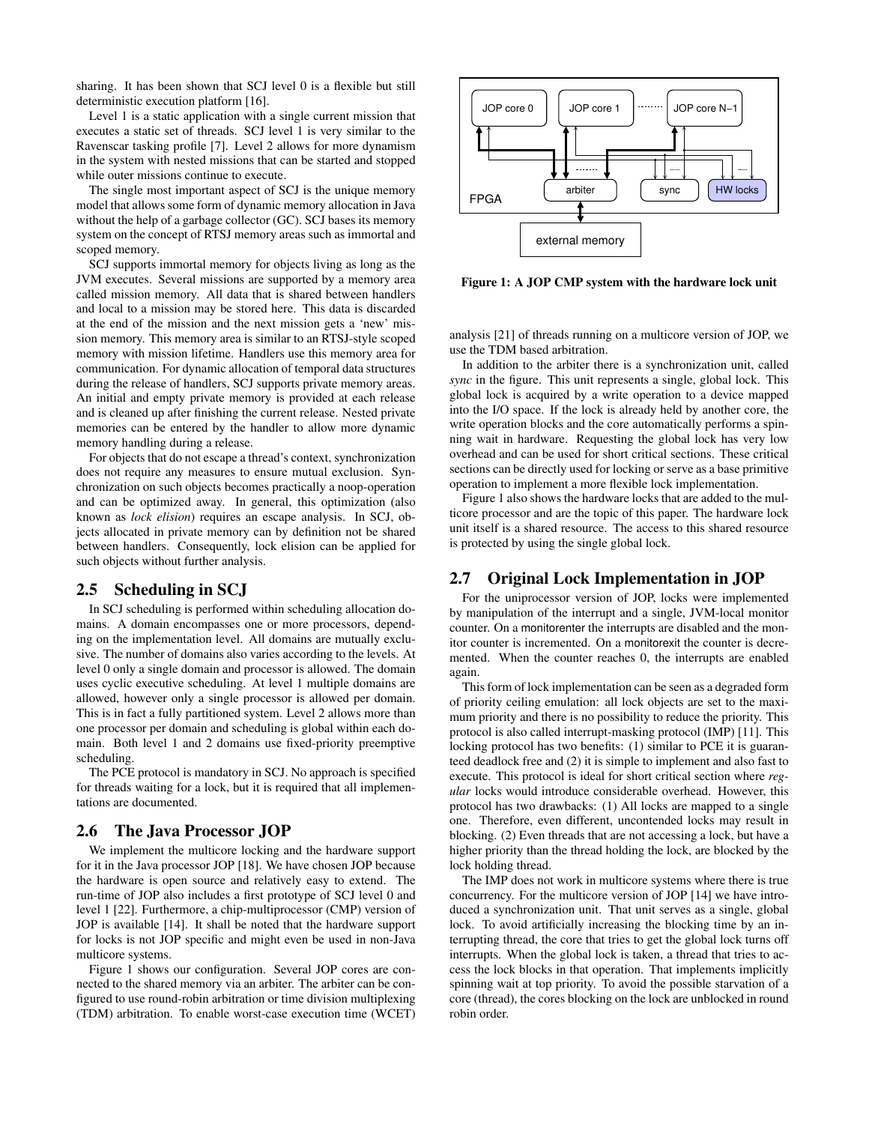sharing. It has been shown that SCJ level 0 is a flexible but still deterministic execution platform [16].

Level 1 is a static application with a single current mission that executes a static set of threads. SCJ level 1 is very similar to the Ravenscar tasking profile [7]. Level 2 allows for more dynamism in the system with nested missions that can be started and stopped while outer missions continue to execute.

The single most important aspect of SCJ is the unique memory model that allows some form of dynamic memory allocation in Java without the help of a garbage collector (GC). SCJ bases its memory system on the concept of RTSJ memory areas such as immortal and scoped memory.

SCJ supports immortal memory for objects living as long as the JVM executes. Several missions are supported by a memory area called mission memory. All data that is shared between handlers and local to a mission may be stored here. This data is discarded at the end of the mission and the next mission gets a 'new' mission memory. This memory area is similar to an RTSJ-style scoped memory with mission lifetime. Handlers use this memory area for communication. For dynamic allocation of temporal data structures during the release of handlers, SCJ supports private memory areas. An initial and empty private memory is provided at each release and is cleaned up after finishing the current release. Nested private memories can be entered by the handler to allow more dynamic memory handling during a release.

For objects that do not escape a thread's context, synchronization does not require any measures to ensure mutual exclusion. Synchronization on such objects becomes practically a noop-operation and can be optimized away. In general, this optimization (also known as *lock elision*) requires an escape analysis. In SCJ, objects allocated in private memory can by definition not be shared between handlers. Consequently, lock elision can be applied for such objects without further analysis.

## 2.5 Scheduling in SCJ

In SCJ scheduling is performed within scheduling allocation domains. A domain encompasses one or more processors, depending on the implementation level. All domains are mutually exclusive. The number of domains also varies according to the levels. At level 0 only a single domain and processor is allowed. The domain uses cyclic executive scheduling. At level 1 multiple domains are allowed, however only a single processor is allowed per domain. This is in fact a fully partitioned system. Level 2 allows more than one processor per domain and scheduling is global within each domain. Both level 1 and 2 domains use fixed-priority preemptive scheduling.

The PCE protocol is mandatory in SCJ. No approach is specified for threads waiting for a lock, but it is required that all implementations are documented.

#### 2.6 The Java Processor JOP

We implement the multicore locking and the hardware support for it in the Java processor JOP [18]. We have chosen JOP because the hardware is open source and relatively easy to extend. The run-time of JOP also includes a first prototype of SCJ level 0 and level 1 [22]. Furthermore, a chip-multiprocessor (CMP) version of JOP is available [14]. It shall be noted that the hardware support for locks is not JOP specific and might even be used in non-Java multicore systems.

Figure 1 shows our configuration. Several JOP cores are connected to the shared memory via an arbiter. The arbiter can be configured to use round-robin arbitration or time division multiplexing (TDM) arbitration. To enable worst-case execution time (WCET)



Figure 1: A JOP CMP system with the hardware lock unit

analysis [21] of threads running on a multicore version of JOP, we use the TDM based arbitration.

In addition to the arbiter there is a synchronization unit, called *sync* in the figure. This unit represents a single, global lock. This global lock is acquired by a write operation to a device mapped into the I/O space. If the lock is already held by another core, the write operation blocks and the core automatically performs a spinning wait in hardware. Requesting the global lock has very low overhead and can be used for short critical sections. These critical sections can be directly used for locking or serve as a base primitive operation to implement a more flexible lock implementation.

Figure 1 also shows the hardware locks that are added to the multicore processor and are the topic of this paper. The hardware lock unit itself is a shared resource. The access to this shared resource is protected by using the single global lock.

## 2.7 Original Lock Implementation in JOP

For the uniprocessor version of JOP, locks were implemented by manipulation of the interrupt and a single, JVM-local monitor counter. On a monitorenter the interrupts are disabled and the monitor counter is incremented. On a monitorexit the counter is decremented. When the counter reaches 0, the interrupts are enabled again.

This form of lock implementation can be seen as a degraded form of priority ceiling emulation: all lock objects are set to the maximum priority and there is no possibility to reduce the priority. This protocol is also called interrupt-masking protocol (IMP) [11]. This locking protocol has two benefits: (1) similar to PCE it is guaranteed deadlock free and (2) it is simple to implement and also fast to execute. This protocol is ideal for short critical section where *regular* locks would introduce considerable overhead. However, this protocol has two drawbacks: (1) All locks are mapped to a single one. Therefore, even different, uncontended locks may result in blocking. (2) Even threads that are not accessing a lock, but have a higher priority than the thread holding the lock, are blocked by the lock holding thread.

The IMP does not work in multicore systems where there is true concurrency. For the multicore version of JOP [14] we have introduced a synchronization unit. That unit serves as a single, global lock. To avoid artificially increasing the blocking time by an interrupting thread, the core that tries to get the global lock turns off interrupts. When the global lock is taken, a thread that tries to access the lock blocks in that operation. That implements implicitly spinning wait at top priority. To avoid the possible starvation of a core (thread), the cores blocking on the lock are unblocked in round robin order.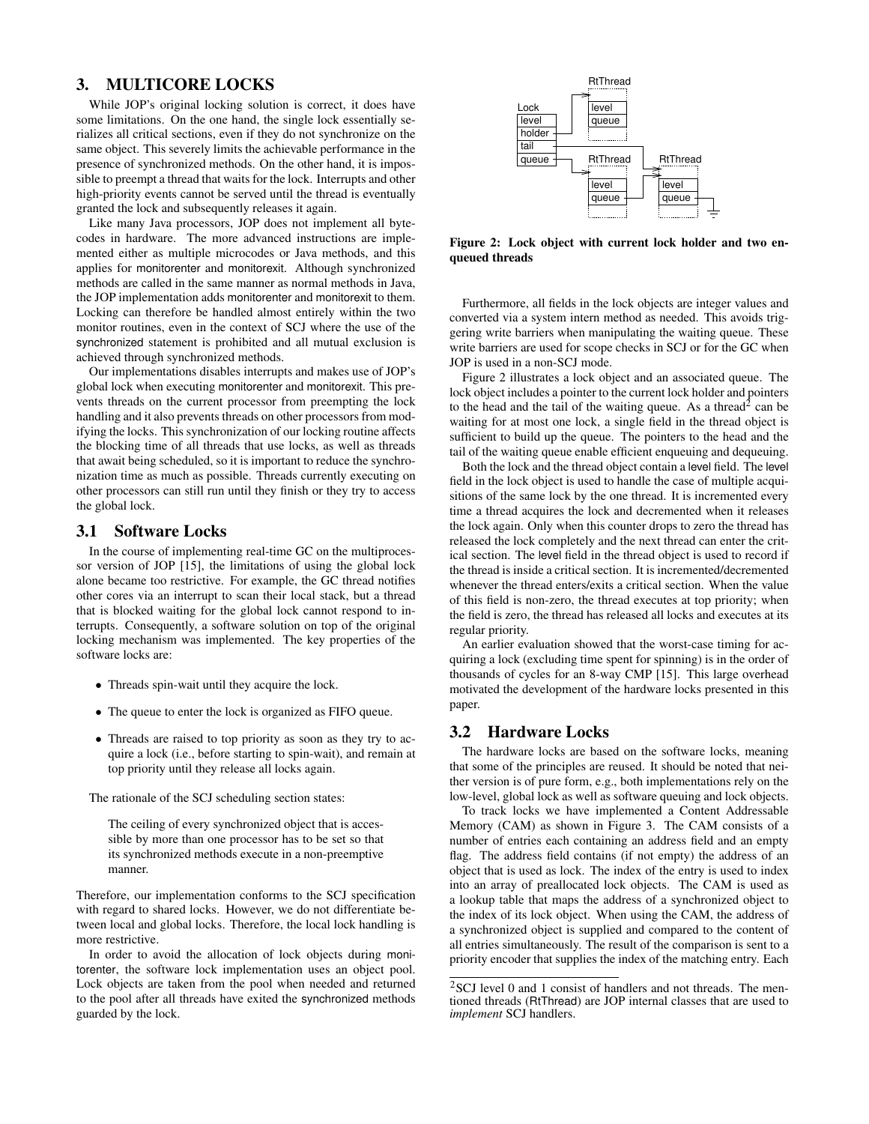# 3. MULTICORE LOCKS

While JOP's original locking solution is correct, it does have some limitations. On the one hand, the single lock essentially serializes all critical sections, even if they do not synchronize on the same object. This severely limits the achievable performance in the presence of synchronized methods. On the other hand, it is impossible to preempt a thread that waits for the lock. Interrupts and other high-priority events cannot be served until the thread is eventually granted the lock and subsequently releases it again.

Like many Java processors, JOP does not implement all bytecodes in hardware. The more advanced instructions are implemented either as multiple microcodes or Java methods, and this applies for monitorenter and monitorexit. Although synchronized methods are called in the same manner as normal methods in Java, the JOP implementation adds monitorenter and monitorexit to them. Locking can therefore be handled almost entirely within the two monitor routines, even in the context of SCJ where the use of the synchronized statement is prohibited and all mutual exclusion is achieved through synchronized methods.

Our implementations disables interrupts and makes use of JOP's global lock when executing monitorenter and monitorexit. This prevents threads on the current processor from preempting the lock handling and it also prevents threads on other processors from modifying the locks. This synchronization of our locking routine affects the blocking time of all threads that use locks, as well as threads that await being scheduled, so it is important to reduce the synchronization time as much as possible. Threads currently executing on other processors can still run until they finish or they try to access the global lock.

## 3.1 Software Locks

In the course of implementing real-time GC on the multiprocessor version of JOP [15], the limitations of using the global lock alone became too restrictive. For example, the GC thread notifies other cores via an interrupt to scan their local stack, but a thread that is blocked waiting for the global lock cannot respond to interrupts. Consequently, a software solution on top of the original locking mechanism was implemented. The key properties of the software locks are:

- Threads spin-wait until they acquire the lock.
- The queue to enter the lock is organized as FIFO queue.
- Threads are raised to top priority as soon as they try to acquire a lock (i.e., before starting to spin-wait), and remain at top priority until they release all locks again.

The rationale of the SCJ scheduling section states:

The ceiling of every synchronized object that is accessible by more than one processor has to be set so that its synchronized methods execute in a non-preemptive manner.

Therefore, our implementation conforms to the SCJ specification with regard to shared locks. However, we do not differentiate between local and global locks. Therefore, the local lock handling is more restrictive.

In order to avoid the allocation of lock objects during monitorenter, the software lock implementation uses an object pool. Lock objects are taken from the pool when needed and returned to the pool after all threads have exited the synchronized methods guarded by the lock.



Figure 2: Lock object with current lock holder and two enqueued threads

Furthermore, all fields in the lock objects are integer values and converted via a system intern method as needed. This avoids triggering write barriers when manipulating the waiting queue. These write barriers are used for scope checks in SCJ or for the GC when JOP is used in a non-SCJ mode.

Figure 2 illustrates a lock object and an associated queue. The lock object includes a pointer to the current lock holder and pointers to the head and the tail of the waiting queue. As a thread<sup>2</sup> can be waiting for at most one lock, a single field in the thread object is sufficient to build up the queue. The pointers to the head and the tail of the waiting queue enable efficient enqueuing and dequeuing.

Both the lock and the thread object contain a level field. The level field in the lock object is used to handle the case of multiple acquisitions of the same lock by the one thread. It is incremented every time a thread acquires the lock and decremented when it releases the lock again. Only when this counter drops to zero the thread has released the lock completely and the next thread can enter the critical section. The level field in the thread object is used to record if the thread is inside a critical section. It is incremented/decremented whenever the thread enters/exits a critical section. When the value of this field is non-zero, the thread executes at top priority; when the field is zero, the thread has released all locks and executes at its regular priority.

An earlier evaluation showed that the worst-case timing for acquiring a lock (excluding time spent for spinning) is in the order of thousands of cycles for an 8-way CMP [15]. This large overhead motivated the development of the hardware locks presented in this paper.

## 3.2 Hardware Locks

The hardware locks are based on the software locks, meaning that some of the principles are reused. It should be noted that neither version is of pure form, e.g., both implementations rely on the low-level, global lock as well as software queuing and lock objects.

To track locks we have implemented a Content Addressable Memory (CAM) as shown in Figure 3. The CAM consists of a number of entries each containing an address field and an empty flag. The address field contains (if not empty) the address of an object that is used as lock. The index of the entry is used to index into an array of preallocated lock objects. The CAM is used as a lookup table that maps the address of a synchronized object to the index of its lock object. When using the CAM, the address of a synchronized object is supplied and compared to the content of all entries simultaneously. The result of the comparison is sent to a priority encoder that supplies the index of the matching entry. Each

<sup>2</sup>SCJ level 0 and 1 consist of handlers and not threads. The mentioned threads (RtThread) are JOP internal classes that are used to *implement* SCJ handlers.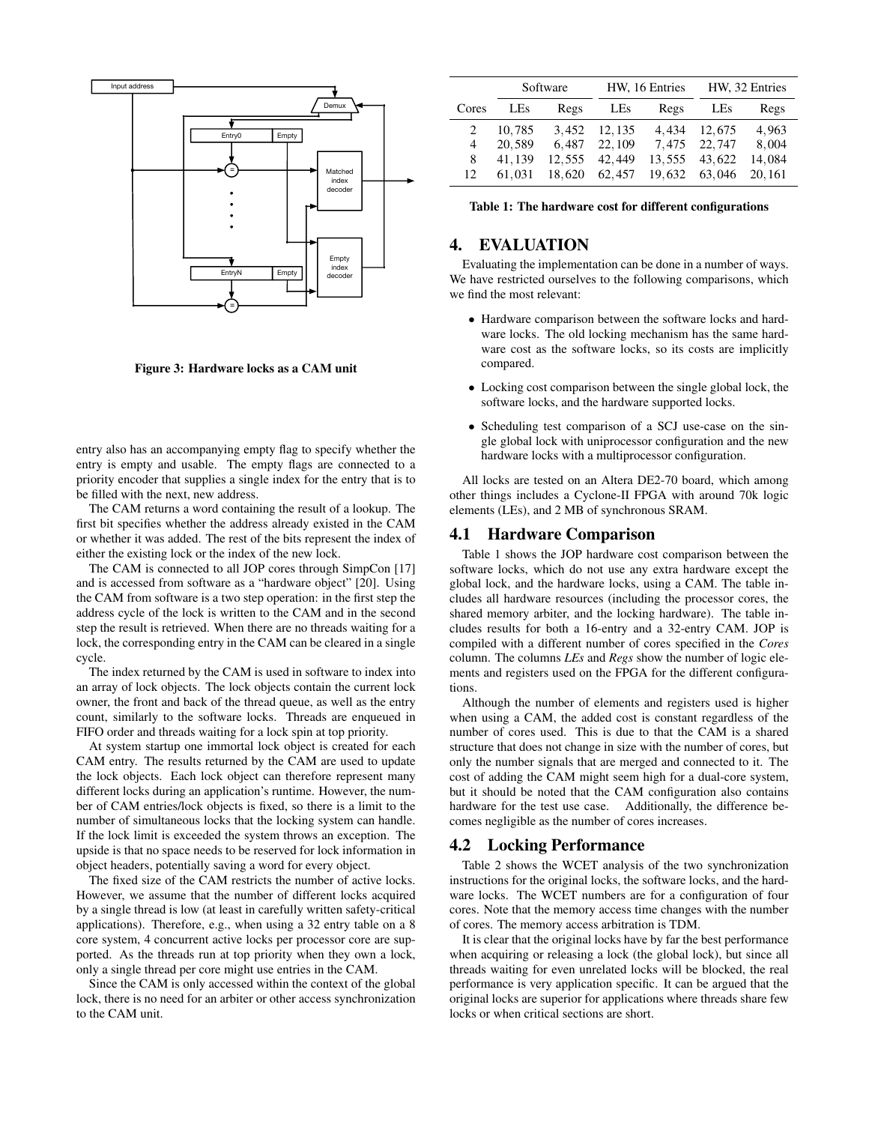

Figure 3: Hardware locks as a CAM unit

entry also has an accompanying empty flag to specify whether the entry is empty and usable. The empty flags are connected to a priority encoder that supplies a single index for the entry that is to be filled with the next, new address.

The CAM returns a word containing the result of a lookup. The first bit specifies whether the address already existed in the CAM or whether it was added. The rest of the bits represent the index of either the existing lock or the index of the new lock.

The CAM is connected to all JOP cores through SimpCon [17] and is accessed from software as a "hardware object" [20]. Using the CAM from software is a two step operation: in the first step the address cycle of the lock is written to the CAM and in the second step the result is retrieved. When there are no threads waiting for a lock, the corresponding entry in the CAM can be cleared in a single cycle.

The index returned by the CAM is used in software to index into an array of lock objects. The lock objects contain the current lock owner, the front and back of the thread queue, as well as the entry count, similarly to the software locks. Threads are enqueued in FIFO order and threads waiting for a lock spin at top priority.

At system startup one immortal lock object is created for each CAM entry. The results returned by the CAM are used to update the lock objects. Each lock object can therefore represent many different locks during an application's runtime. However, the number of CAM entries/lock objects is fixed, so there is a limit to the number of simultaneous locks that the locking system can handle. If the lock limit is exceeded the system throws an exception. The upside is that no space needs to be reserved for lock information in object headers, potentially saving a word for every object.

The fixed size of the CAM restricts the number of active locks. However, we assume that the number of different locks acquired by a single thread is low (at least in carefully written safety-critical applications). Therefore, e.g., when using a 32 entry table on a 8 core system, 4 concurrent active locks per processor core are supported. As the threads run at top priority when they own a lock, only a single thread per core might use entries in the CAM.

Since the CAM is only accessed within the context of the global lock, there is no need for an arbiter or other access synchronization to the CAM unit.

|       | Software   |        | HW, 16 Entries |                    | HW, 32 Entries |        |
|-------|------------|--------|----------------|--------------------|----------------|--------|
| Cores | <b>LES</b> | Regs   | <b>LEs</b>     | Regs               | LEs            | Regs   |
|       | 10.785     |        | 3,452 12,135   | 4.434              | 12,675         | 4,963  |
| 4     | 20.589     | 6.487  | 22, 109        | 7,475 22,747 8,004 |                |        |
| 8     | 41.139     | 12,555 | 42,449         |                    | 13,555 43,622  | 14.084 |
| 12.   | 61.031     | 18,620 | 62,457         |                    | 19,632 63,046  | 20.161 |

Table 1: The hardware cost for different configurations

# 4. EVALUATION

Evaluating the implementation can be done in a number of ways. We have restricted ourselves to the following comparisons, which we find the most relevant:

- Hardware comparison between the software locks and hardware locks. The old locking mechanism has the same hardware cost as the software locks, so its costs are implicitly compared.
- Locking cost comparison between the single global lock, the software locks, and the hardware supported locks.
- Scheduling test comparison of a SCJ use-case on the single global lock with uniprocessor configuration and the new hardware locks with a multiprocessor configuration.

All locks are tested on an Altera DE2-70 board, which among other things includes a Cyclone-II FPGA with around 70k logic elements (LEs), and 2 MB of synchronous SRAM.

#### 4.1 Hardware Comparison

Table 1 shows the JOP hardware cost comparison between the software locks, which do not use any extra hardware except the global lock, and the hardware locks, using a CAM. The table includes all hardware resources (including the processor cores, the shared memory arbiter, and the locking hardware). The table includes results for both a 16-entry and a 32-entry CAM. JOP is compiled with a different number of cores specified in the *Cores* column. The columns *LEs* and *Regs* show the number of logic elements and registers used on the FPGA for the different configurations.

Although the number of elements and registers used is higher when using a CAM, the added cost is constant regardless of the number of cores used. This is due to that the CAM is a shared structure that does not change in size with the number of cores, but only the number signals that are merged and connected to it. The cost of adding the CAM might seem high for a dual-core system, but it should be noted that the CAM configuration also contains hardware for the test use case. Additionally, the difference becomes negligible as the number of cores increases.

## 4.2 Locking Performance

Table 2 shows the WCET analysis of the two synchronization instructions for the original locks, the software locks, and the hardware locks. The WCET numbers are for a configuration of four cores. Note that the memory access time changes with the number of cores. The memory access arbitration is TDM.

It is clear that the original locks have by far the best performance when acquiring or releasing a lock (the global lock), but since all threads waiting for even unrelated locks will be blocked, the real performance is very application specific. It can be argued that the original locks are superior for applications where threads share few locks or when critical sections are short.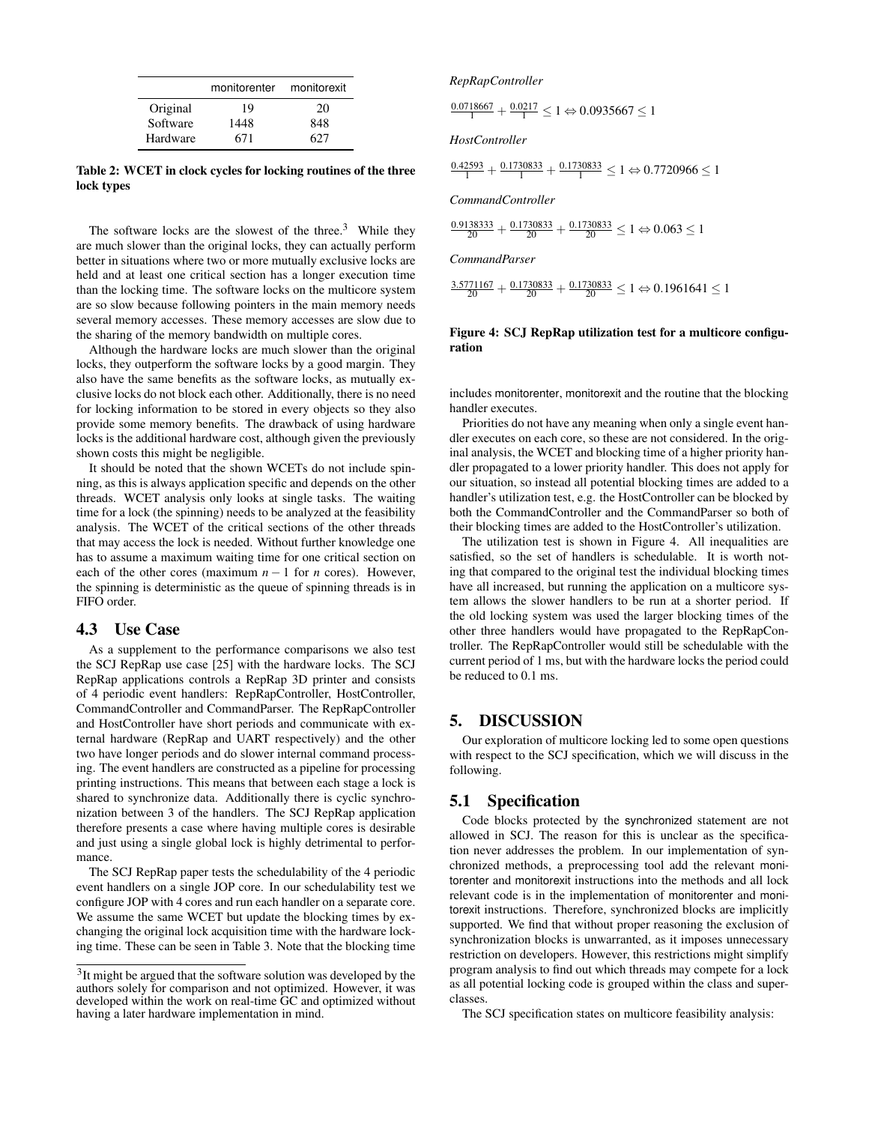|          | monitorenter | monitorexit |
|----------|--------------|-------------|
| Original | 19           | 20          |
| Software | 1448         | 848         |
| Hardware | 671          | 627         |

Table 2: WCET in clock cycles for locking routines of the three lock types

The software locks are the slowest of the three. $3$  While they are much slower than the original locks, they can actually perform better in situations where two or more mutually exclusive locks are held and at least one critical section has a longer execution time than the locking time. The software locks on the multicore system are so slow because following pointers in the main memory needs several memory accesses. These memory accesses are slow due to the sharing of the memory bandwidth on multiple cores.

Although the hardware locks are much slower than the original locks, they outperform the software locks by a good margin. They also have the same benefits as the software locks, as mutually exclusive locks do not block each other. Additionally, there is no need for locking information to be stored in every objects so they also provide some memory benefits. The drawback of using hardware locks is the additional hardware cost, although given the previously shown costs this might be negligible.

It should be noted that the shown WCETs do not include spinning, as this is always application specific and depends on the other threads. WCET analysis only looks at single tasks. The waiting time for a lock (the spinning) needs to be analyzed at the feasibility analysis. The WCET of the critical sections of the other threads that may access the lock is needed. Without further knowledge one has to assume a maximum waiting time for one critical section on each of the other cores (maximum  $n-1$  for *n* cores). However, the spinning is deterministic as the queue of spinning threads is in FIFO order.

## 4.3 Use Case

As a supplement to the performance comparisons we also test the SCJ RepRap use case [25] with the hardware locks. The SCJ RepRap applications controls a RepRap 3D printer and consists of 4 periodic event handlers: RepRapController, HostController, CommandController and CommandParser. The RepRapController and HostController have short periods and communicate with external hardware (RepRap and UART respectively) and the other two have longer periods and do slower internal command processing. The event handlers are constructed as a pipeline for processing printing instructions. This means that between each stage a lock is shared to synchronize data. Additionally there is cyclic synchronization between 3 of the handlers. The SCJ RepRap application therefore presents a case where having multiple cores is desirable and just using a single global lock is highly detrimental to performance.

The SCJ RepRap paper tests the schedulability of the 4 periodic event handlers on a single JOP core. In our schedulability test we configure JOP with 4 cores and run each handler on a separate core. We assume the same WCET but update the blocking times by exchanging the original lock acquisition time with the hardware locking time. These can be seen in Table 3. Note that the blocking time

#### *RepRapController*

 $\frac{0.0718667}{1} + \frac{0.0217}{1} \le 1 \Leftrightarrow 0.0935667 \le 1$ 

*HostController*

$$
\frac{0.42593}{1} + \frac{0.1730833}{1} + \frac{0.1730833}{1} \le 1 \Leftrightarrow 0.7720966 \le 1
$$

*CommandController*

 $\frac{0.9138333}{20} + \frac{0.1730833}{20} + \frac{0.1730833}{20} \le 1 \Leftrightarrow 0.063 \le 1$ 

*CommandParser*

 $\frac{3.5771167}{20} + \frac{0.1730833}{20} + \frac{0.1730833}{20} \leq 1 \Leftrightarrow 0.1961641 \leq 1$ 

#### Figure 4: SCJ RepRap utilization test for a multicore configuration

includes monitorenter, monitorexit and the routine that the blocking handler executes.

Priorities do not have any meaning when only a single event handler executes on each core, so these are not considered. In the original analysis, the WCET and blocking time of a higher priority handler propagated to a lower priority handler. This does not apply for our situation, so instead all potential blocking times are added to a handler's utilization test, e.g. the HostController can be blocked by both the CommandController and the CommandParser so both of their blocking times are added to the HostController's utilization.

The utilization test is shown in Figure 4. All inequalities are satisfied, so the set of handlers is schedulable. It is worth noting that compared to the original test the individual blocking times have all increased, but running the application on a multicore system allows the slower handlers to be run at a shorter period. If the old locking system was used the larger blocking times of the other three handlers would have propagated to the RepRapController. The RepRapController would still be schedulable with the current period of 1 ms, but with the hardware locks the period could be reduced to 0.1 ms.

## 5. DISCUSSION

Our exploration of multicore locking led to some open questions with respect to the SCJ specification, which we will discuss in the following.

#### 5.1 Specification

Code blocks protected by the synchronized statement are not allowed in SCJ. The reason for this is unclear as the specification never addresses the problem. In our implementation of synchronized methods, a preprocessing tool add the relevant monitorenter and monitorexit instructions into the methods and all lock relevant code is in the implementation of monitorenter and monitorexit instructions. Therefore, synchronized blocks are implicitly supported. We find that without proper reasoning the exclusion of synchronization blocks is unwarranted, as it imposes unnecessary restriction on developers. However, this restrictions might simplify program analysis to find out which threads may compete for a lock as all potential locking code is grouped within the class and superclasses.

The SCJ specification states on multicore feasibility analysis:

<sup>&</sup>lt;sup>3</sup>It might be argued that the software solution was developed by the authors solely for comparison and not optimized. However, it was developed within the work on real-time GC and optimized without having a later hardware implementation in mind.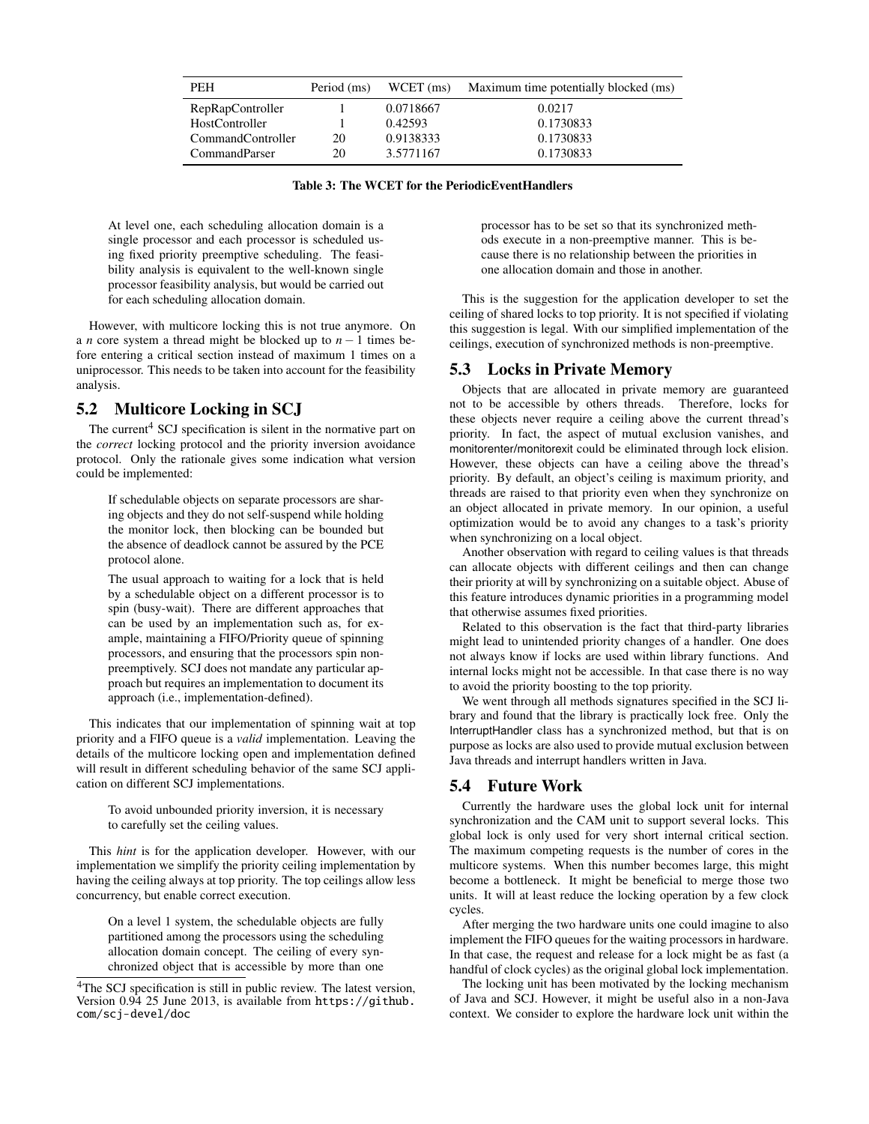| <b>PEH</b>        | Period (ms) | $WCET$ (ms) | Maximum time potentially blocked (ms) |
|-------------------|-------------|-------------|---------------------------------------|
| RepRapController  |             | 0.0718667   | 0.0217                                |
| HostController    |             | 0.42593     | 0.1730833                             |
| CommandController | 20          | 0.9138333   | 0.1730833                             |
| CommandParser     | 20          | 3.5771167   | 0.1730833                             |

Table 3: The WCET for the PeriodicEventHandlers

At level one, each scheduling allocation domain is a single processor and each processor is scheduled using fixed priority preemptive scheduling. The feasibility analysis is equivalent to the well-known single processor feasibility analysis, but would be carried out for each scheduling allocation domain.

However, with multicore locking this is not true anymore. On a *n* core system a thread might be blocked up to *n* − 1 times before entering a critical section instead of maximum 1 times on a uniprocessor. This needs to be taken into account for the feasibility analysis.

# 5.2 Multicore Locking in SCJ

The current<sup>4</sup> SCJ specification is silent in the normative part on the *correct* locking protocol and the priority inversion avoidance protocol. Only the rationale gives some indication what version could be implemented:

If schedulable objects on separate processors are sharing objects and they do not self-suspend while holding the monitor lock, then blocking can be bounded but the absence of deadlock cannot be assured by the PCE protocol alone.

The usual approach to waiting for a lock that is held by a schedulable object on a different processor is to spin (busy-wait). There are different approaches that can be used by an implementation such as, for example, maintaining a FIFO/Priority queue of spinning processors, and ensuring that the processors spin nonpreemptively. SCJ does not mandate any particular approach but requires an implementation to document its approach (i.e., implementation-defined).

This indicates that our implementation of spinning wait at top priority and a FIFO queue is a *valid* implementation. Leaving the details of the multicore locking open and implementation defined will result in different scheduling behavior of the same SCJ application on different SCJ implementations.

To avoid unbounded priority inversion, it is necessary to carefully set the ceiling values.

This *hint* is for the application developer. However, with our implementation we simplify the priority ceiling implementation by having the ceiling always at top priority. The top ceilings allow less concurrency, but enable correct execution.

On a level 1 system, the schedulable objects are fully partitioned among the processors using the scheduling allocation domain concept. The ceiling of every synchronized object that is accessible by more than one

processor has to be set so that its synchronized methods execute in a non-preemptive manner. This is because there is no relationship between the priorities in one allocation domain and those in another.

This is the suggestion for the application developer to set the ceiling of shared locks to top priority. It is not specified if violating this suggestion is legal. With our simplified implementation of the ceilings, execution of synchronized methods is non-preemptive.

## 5.3 Locks in Private Memory

Objects that are allocated in private memory are guaranteed not to be accessible by others threads. Therefore, locks for these objects never require a ceiling above the current thread's priority. In fact, the aspect of mutual exclusion vanishes, and monitorenter/monitorexit could be eliminated through lock elision. However, these objects can have a ceiling above the thread's priority. By default, an object's ceiling is maximum priority, and threads are raised to that priority even when they synchronize on an object allocated in private memory. In our opinion, a useful optimization would be to avoid any changes to a task's priority when synchronizing on a local object.

Another observation with regard to ceiling values is that threads can allocate objects with different ceilings and then can change their priority at will by synchronizing on a suitable object. Abuse of this feature introduces dynamic priorities in a programming model that otherwise assumes fixed priorities.

Related to this observation is the fact that third-party libraries might lead to unintended priority changes of a handler. One does not always know if locks are used within library functions. And internal locks might not be accessible. In that case there is no way to avoid the priority boosting to the top priority.

We went through all methods signatures specified in the SCJ library and found that the library is practically lock free. Only the InterruptHandler class has a synchronized method, but that is on purpose as locks are also used to provide mutual exclusion between Java threads and interrupt handlers written in Java.

# 5.4 Future Work

Currently the hardware uses the global lock unit for internal synchronization and the CAM unit to support several locks. This global lock is only used for very short internal critical section. The maximum competing requests is the number of cores in the multicore systems. When this number becomes large, this might become a bottleneck. It might be beneficial to merge those two units. It will at least reduce the locking operation by a few clock cycles.

After merging the two hardware units one could imagine to also implement the FIFO queues for the waiting processors in hardware. In that case, the request and release for a lock might be as fast (a handful of clock cycles) as the original global lock implementation.

The locking unit has been motivated by the locking mechanism of Java and SCJ. However, it might be useful also in a non-Java context. We consider to explore the hardware lock unit within the

<sup>4</sup>The SCJ specification is still in public review. The latest version, Version 0.94 25 June 2013, is available from https://github. com/scj-devel/doc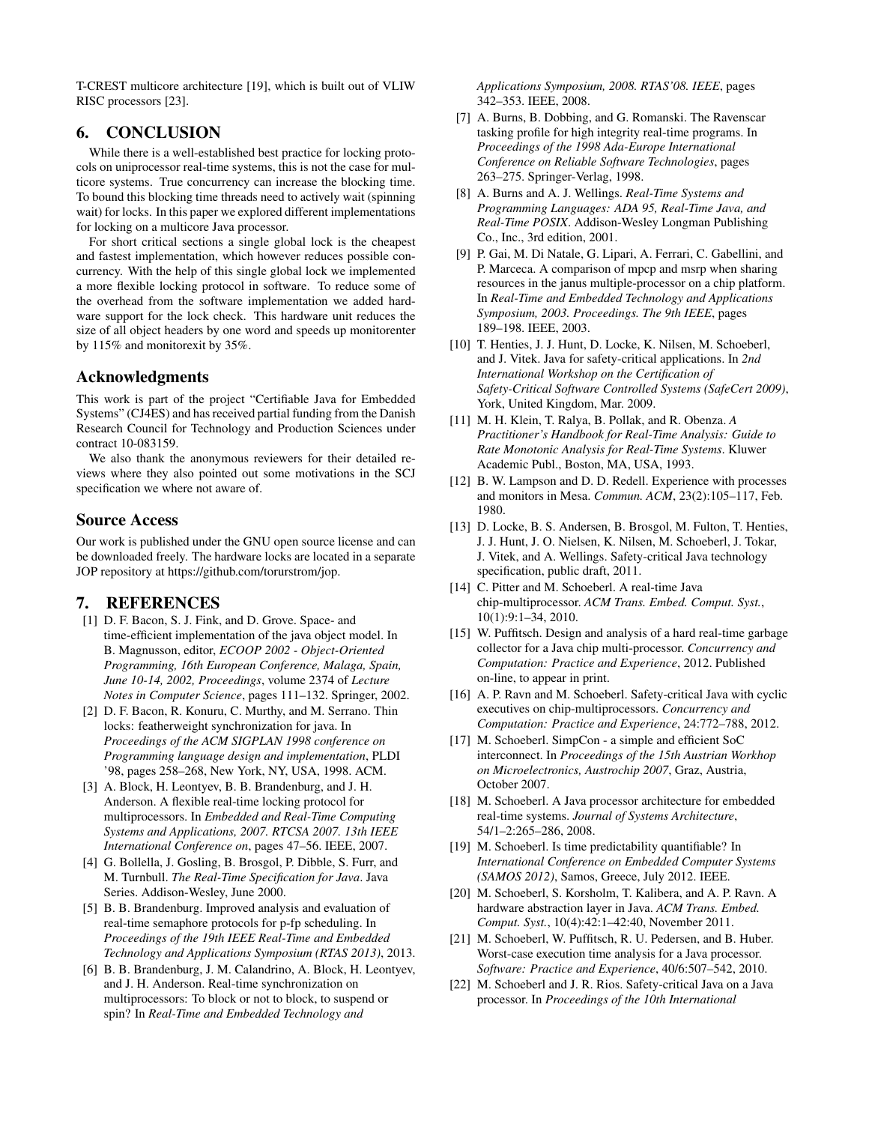T-CREST multicore architecture [19], which is built out of VLIW RISC processors [23].

# 6. CONCLUSION

While there is a well-established best practice for locking protocols on uniprocessor real-time systems, this is not the case for multicore systems. True concurrency can increase the blocking time. To bound this blocking time threads need to actively wait (spinning wait) for locks. In this paper we explored different implementations for locking on a multicore Java processor.

For short critical sections a single global lock is the cheapest and fastest implementation, which however reduces possible concurrency. With the help of this single global lock we implemented a more flexible locking protocol in software. To reduce some of the overhead from the software implementation we added hardware support for the lock check. This hardware unit reduces the size of all object headers by one word and speeds up monitorenter by 115% and monitorexit by 35%.

## Acknowledgments

This work is part of the project "Certifiable Java for Embedded Systems" (CJ4ES) and has received partial funding from the Danish Research Council for Technology and Production Sciences under contract 10-083159.

We also thank the anonymous reviewers for their detailed reviews where they also pointed out some motivations in the SCJ specification we where not aware of.

## Source Access

Our work is published under the GNU open source license and can be downloaded freely. The hardware locks are located in a separate JOP repository at https://github.com/torurstrom/jop.

# 7. REFERENCES

- [1] D. F. Bacon, S. J. Fink, and D. Grove. Space- and time-efficient implementation of the java object model. In B. Magnusson, editor, *ECOOP 2002 - Object-Oriented Programming, 16th European Conference, Malaga, Spain, June 10-14, 2002, Proceedings*, volume 2374 of *Lecture Notes in Computer Science*, pages 111–132. Springer, 2002.
- [2] D. F. Bacon, R. Konuru, C. Murthy, and M. Serrano. Thin locks: featherweight synchronization for java. In *Proceedings of the ACM SIGPLAN 1998 conference on Programming language design and implementation*, PLDI '98, pages 258–268, New York, NY, USA, 1998. ACM.
- [3] A. Block, H. Leontyev, B. B. Brandenburg, and J. H. Anderson. A flexible real-time locking protocol for multiprocessors. In *Embedded and Real-Time Computing Systems and Applications, 2007. RTCSA 2007. 13th IEEE International Conference on*, pages 47–56. IEEE, 2007.
- [4] G. Bollella, J. Gosling, B. Brosgol, P. Dibble, S. Furr, and M. Turnbull. *The Real-Time Specification for Java*. Java Series. Addison-Wesley, June 2000.
- [5] B. B. Brandenburg. Improved analysis and evaluation of real-time semaphore protocols for p-fp scheduling. In *Proceedings of the 19th IEEE Real-Time and Embedded Technology and Applications Symposium (RTAS 2013)*, 2013.
- [6] B. B. Brandenburg, J. M. Calandrino, A. Block, H. Leontyev, and J. H. Anderson. Real-time synchronization on multiprocessors: To block or not to block, to suspend or spin? In *Real-Time and Embedded Technology and*

*Applications Symposium, 2008. RTAS'08. IEEE*, pages 342–353. IEEE, 2008.

- [7] A. Burns, B. Dobbing, and G. Romanski. The Ravenscar tasking profile for high integrity real-time programs. In *Proceedings of the 1998 Ada-Europe International Conference on Reliable Software Technologies*, pages 263–275. Springer-Verlag, 1998.
- [8] A. Burns and A. J. Wellings. *Real-Time Systems and Programming Languages: ADA 95, Real-Time Java, and Real-Time POSIX*. Addison-Wesley Longman Publishing Co., Inc., 3rd edition, 2001.
- [9] P. Gai, M. Di Natale, G. Lipari, A. Ferrari, C. Gabellini, and P. Marceca. A comparison of mpcp and msrp when sharing resources in the janus multiple-processor on a chip platform. In *Real-Time and Embedded Technology and Applications Symposium, 2003. Proceedings. The 9th IEEE*, pages 189–198. IEEE, 2003.
- [10] T. Henties, J. J. Hunt, D. Locke, K. Nilsen, M. Schoeberl, and J. Vitek. Java for safety-critical applications. In *2nd International Workshop on the Certification of Safety-Critical Software Controlled Systems (SafeCert 2009)*, York, United Kingdom, Mar. 2009.
- [11] M. H. Klein, T. Ralya, B. Pollak, and R. Obenza. *A Practitioner's Handbook for Real-Time Analysis: Guide to Rate Monotonic Analysis for Real-Time Systems*. Kluwer Academic Publ., Boston, MA, USA, 1993.
- [12] B. W. Lampson and D. D. Redell. Experience with processes and monitors in Mesa. *Commun. ACM*, 23(2):105–117, Feb. 1980.
- [13] D. Locke, B. S. Andersen, B. Brosgol, M. Fulton, T. Henties, J. J. Hunt, J. O. Nielsen, K. Nilsen, M. Schoeberl, J. Tokar, J. Vitek, and A. Wellings. Safety-critical Java technology specification, public draft, 2011.
- [14] C. Pitter and M. Schoeberl. A real-time Java chip-multiprocessor. *ACM Trans. Embed. Comput. Syst.*, 10(1):9:1–34, 2010.
- [15] W. Puffitsch. Design and analysis of a hard real-time garbage collector for a Java chip multi-processor. *Concurrency and Computation: Practice and Experience*, 2012. Published on-line, to appear in print.
- [16] A. P. Ravn and M. Schoeberl. Safety-critical Java with cyclic executives on chip-multiprocessors. *Concurrency and Computation: Practice and Experience*, 24:772–788, 2012.
- [17] M. Schoeberl. SimpCon a simple and efficient SoC interconnect. In *Proceedings of the 15th Austrian Workhop on Microelectronics, Austrochip 2007*, Graz, Austria, October 2007.
- [18] M. Schoeberl. A Java processor architecture for embedded real-time systems. *Journal of Systems Architecture*, 54/1–2:265–286, 2008.
- [19] M. Schoeberl. Is time predictability quantifiable? In *International Conference on Embedded Computer Systems (SAMOS 2012)*, Samos, Greece, July 2012. IEEE.
- [20] M. Schoeberl, S. Korsholm, T. Kalibera, and A. P. Ravn. A hardware abstraction layer in Java. *ACM Trans. Embed. Comput. Syst.*, 10(4):42:1–42:40, November 2011.
- [21] M. Schoeberl, W. Puffitsch, R. U. Pedersen, and B. Huber. Worst-case execution time analysis for a Java processor. *Software: Practice and Experience*, 40/6:507–542, 2010.
- [22] M. Schoeberl and J. R. Rios. Safety-critical Java on a Java processor. In *Proceedings of the 10th International*